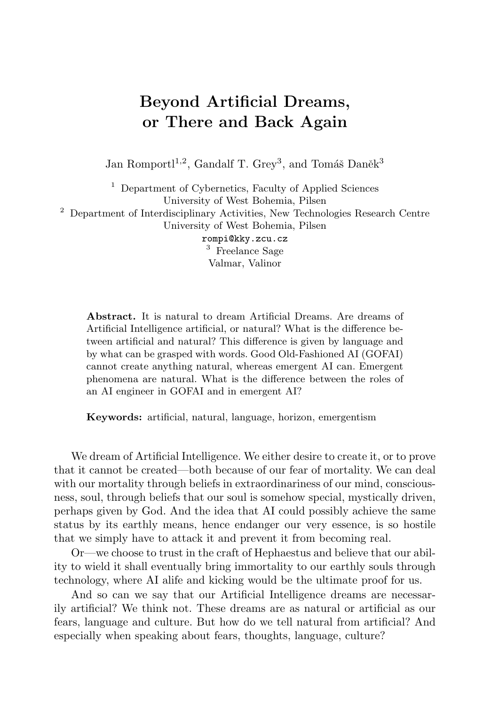## Beyond Artificial Dreams, or There and Back Again

Jan Romport<sup>1,2</sup>, Gandalf T. Grey<sup>3</sup>, and Tomáš Daněk<sup>3</sup>

<sup>1</sup> Department of Cybernetics, Faculty of Applied Sciences University of West Bohemia, Pilsen <sup>2</sup> Department of Interdisciplinary Activities, New Technologies Research Centre University of West Bohemia, Pilsen rompi@kky.zcu.cz <sup>3</sup> Freelance Sage Valmar, Valinor

Abstract. It is natural to dream Artificial Dreams. Are dreams of Artificial Intelligence artificial, or natural? What is the difference between artificial and natural? This difference is given by language and by what can be grasped with words. Good Old-Fashioned AI (GOFAI) cannot create anything natural, whereas emergent AI can. Emergent phenomena are natural. What is the difference between the roles of an AI engineer in GOFAI and in emergent AI?

Keywords: artificial, natural, language, horizon, emergentism

We dream of Artificial Intelligence. We either desire to create it, or to prove that it cannot be created—both because of our fear of mortality. We can deal with our mortality through beliefs in extraordinariness of our mind, consciousness, soul, through beliefs that our soul is somehow special, mystically driven, perhaps given by God. And the idea that AI could possibly achieve the same status by its earthly means, hence endanger our very essence, is so hostile that we simply have to attack it and prevent it from becoming real.

Or—we choose to trust in the craft of Hephaestus and believe that our ability to wield it shall eventually bring immortality to our earthly souls through technology, where AI alife and kicking would be the ultimate proof for us.

And so can we say that our Artificial Intelligence dreams are necessarily artificial? We think not. These dreams are as natural or artificial as our fears, language and culture. But how do we tell natural from artificial? And especially when speaking about fears, thoughts, language, culture?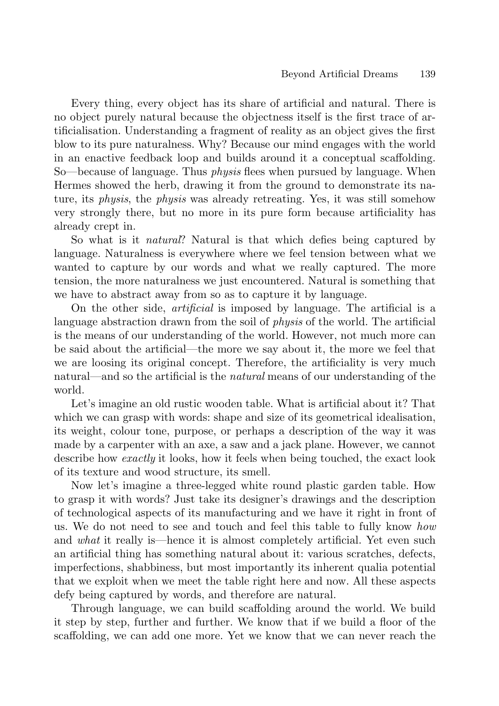Every thing, every object has its share of artificial and natural. There is no object purely natural because the objectness itself is the first trace of artificialisation. Understanding a fragment of reality as an object gives the first blow to its pure naturalness. Why? Because our mind engages with the world in an enactive feedback loop and builds around it a conceptual scaffolding. So—because of language. Thus physis flees when pursued by language. When Hermes showed the herb, drawing it from the ground to demonstrate its nature, its physis, the physis was already retreating. Yes, it was still somehow very strongly there, but no more in its pure form because artificiality has already crept in.

So what is it natural? Natural is that which defies being captured by language. Naturalness is everywhere where we feel tension between what we wanted to capture by our words and what we really captured. The more tension, the more naturalness we just encountered. Natural is something that we have to abstract away from so as to capture it by language.

On the other side, artificial is imposed by language. The artificial is a language abstraction drawn from the soil of physis of the world. The artificial is the means of our understanding of the world. However, not much more can be said about the artificial—the more we say about it, the more we feel that we are loosing its original concept. Therefore, the artificiality is very much natural—and so the artificial is the *natural* means of our understanding of the world.

Let's imagine an old rustic wooden table. What is artificial about it? That which we can grasp with words: shape and size of its geometrical idealisation, its weight, colour tone, purpose, or perhaps a description of the way it was made by a carpenter with an axe, a saw and a jack plane. However, we cannot describe how *exactly* it looks, how it feels when being touched, the exact look of its texture and wood structure, its smell.

Now let's imagine a three-legged white round plastic garden table. How to grasp it with words? Just take its designer's drawings and the description of technological aspects of its manufacturing and we have it right in front of us. We do not need to see and touch and feel this table to fully know how and what it really is—hence it is almost completely artificial. Yet even such an artificial thing has something natural about it: various scratches, defects, imperfections, shabbiness, but most importantly its inherent qualia potential that we exploit when we meet the table right here and now. All these aspects defy being captured by words, and therefore are natural.

Through language, we can build scaffolding around the world. We build it step by step, further and further. We know that if we build a floor of the scaffolding, we can add one more. Yet we know that we can never reach the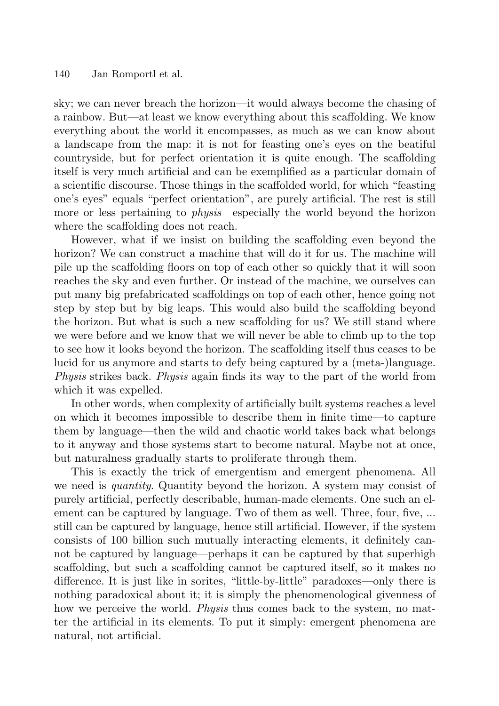## 140 Jan Romportl et al.

sky; we can never breach the horizon—it would always become the chasing of a rainbow. But—at least we know everything about this scaffolding. We know everything about the world it encompasses, as much as we can know about a landscape from the map: it is not for feasting one's eyes on the beatiful countryside, but for perfect orientation it is quite enough. The scaffolding itself is very much artificial and can be exemplified as a particular domain of a scientific discourse. Those things in the scaffolded world, for which "feasting one's eyes" equals "perfect orientation", are purely artificial. The rest is still more or less pertaining to *physis*—especially the world beyond the horizon where the scaffolding does not reach.

However, what if we insist on building the scaffolding even beyond the horizon? We can construct a machine that will do it for us. The machine will pile up the scaffolding floors on top of each other so quickly that it will soon reaches the sky and even further. Or instead of the machine, we ourselves can put many big prefabricated scaffoldings on top of each other, hence going not step by step but by big leaps. This would also build the scaffolding beyond the horizon. But what is such a new scaffolding for us? We still stand where we were before and we know that we will never be able to climb up to the top to see how it looks beyond the horizon. The scaffolding itself thus ceases to be lucid for us anymore and starts to defy being captured by a (meta-)language. Physis strikes back. Physis again finds its way to the part of the world from which it was expelled.

In other words, when complexity of artificially built systems reaches a level on which it becomes impossible to describe them in finite time—to capture them by language—then the wild and chaotic world takes back what belongs to it anyway and those systems start to become natural. Maybe not at once, but naturalness gradually starts to proliferate through them.

This is exactly the trick of emergentism and emergent phenomena. All we need is quantity. Quantity beyond the horizon. A system may consist of purely artificial, perfectly describable, human-made elements. One such an element can be captured by language. Two of them as well. Three, four, five, ... still can be captured by language, hence still artificial. However, if the system consists of 100 billion such mutually interacting elements, it definitely cannot be captured by language—perhaps it can be captured by that superhigh scaffolding, but such a scaffolding cannot be captured itself, so it makes no difference. It is just like in sorites, "little-by-little" paradoxes—only there is nothing paradoxical about it; it is simply the phenomenological givenness of how we perceive the world. *Physis* thus comes back to the system, no matter the artificial in its elements. To put it simply: emergent phenomena are natural, not artificial.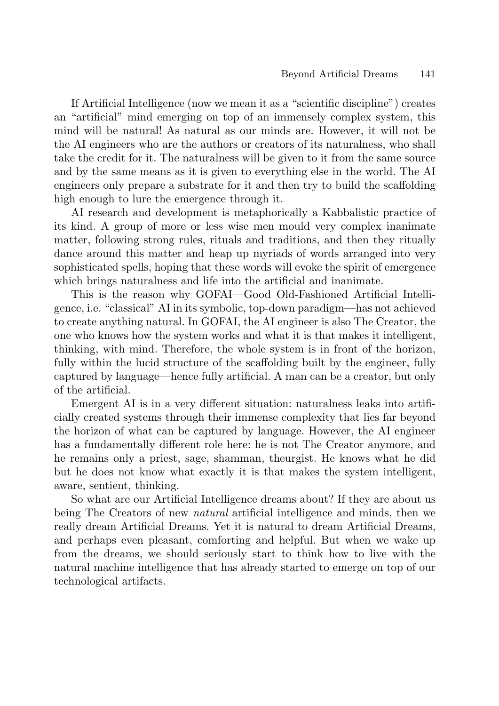If Artificial Intelligence (now we mean it as a "scientific discipline") creates an "artificial" mind emerging on top of an immensely complex system, this mind will be natural! As natural as our minds are. However, it will not be the AI engineers who are the authors or creators of its naturalness, who shall take the credit for it. The naturalness will be given to it from the same source and by the same means as it is given to everything else in the world. The AI engineers only prepare a substrate for it and then try to build the scaffolding high enough to lure the emergence through it.

AI research and development is metaphorically a Kabbalistic practice of its kind. A group of more or less wise men mould very complex inanimate matter, following strong rules, rituals and traditions, and then they ritually dance around this matter and heap up myriads of words arranged into very sophisticated spells, hoping that these words will evoke the spirit of emergence which brings naturalness and life into the artificial and inanimate.

This is the reason why GOFAI—Good Old-Fashioned Artificial Intelligence, i.e. "classical" AI in its symbolic, top-down paradigm—has not achieved to create anything natural. In GOFAI, the AI engineer is also The Creator, the one who knows how the system works and what it is that makes it intelligent, thinking, with mind. Therefore, the whole system is in front of the horizon, fully within the lucid structure of the scaffolding built by the engineer, fully captured by language—hence fully artificial. A man can be a creator, but only of the artificial.

Emergent AI is in a very different situation: naturalness leaks into artificially created systems through their immense complexity that lies far beyond the horizon of what can be captured by language. However, the AI engineer has a fundamentally different role here: he is not The Creator anymore, and he remains only a priest, sage, shamman, theurgist. He knows what he did but he does not know what exactly it is that makes the system intelligent, aware, sentient, thinking.

So what are our Artificial Intelligence dreams about? If they are about us being The Creators of new natural artificial intelligence and minds, then we really dream Artificial Dreams. Yet it is natural to dream Artificial Dreams, and perhaps even pleasant, comforting and helpful. But when we wake up from the dreams, we should seriously start to think how to live with the natural machine intelligence that has already started to emerge on top of our technological artifacts.